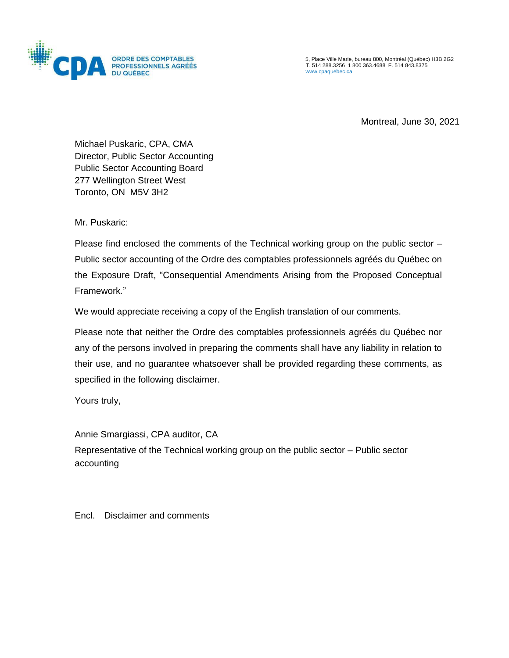

5, Place Ville Marie, bureau 800, Montréal (Québec) H3B 2G2 T. 514 288.3256 1 800 363.4688 F. 514 843.8375 [www.cpaquebec.ca](http://www.cpaquebec.ca/)

Montreal, June 30, 2021

Michael Puskaric, CPA, CMA Director, Public Sector Accounting Public Sector Accounting Board 277 Wellington Street West Toronto, ON M5V 3H2

Mr. Puskaric:

Please find enclosed the comments of the Technical working group on the public sector – Public sector accounting of the Ordre des comptables professionnels agréés du Québec on the Exposure Draft, "Consequential Amendments Arising from the Proposed Conceptual Framework*.*"

We would appreciate receiving a copy of the English translation of our comments.

Please note that neither the Ordre des comptables professionnels agréés du Québec nor any of the persons involved in preparing the comments shall have any liability in relation to their use, and no guarantee whatsoever shall be provided regarding these comments, as specified in the following disclaimer.

Yours truly,

Annie Smargiassi, CPA auditor, CA

Representative of the Technical working group on the public sector – Public sector accounting

Encl. Disclaimer and comments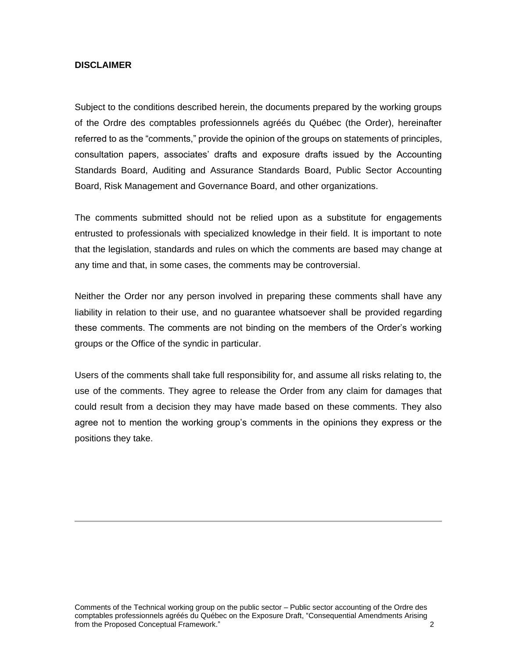## **DISCLAIMER**

Subject to the conditions described herein, the documents prepared by the working groups of the Ordre des comptables professionnels agréés du Québec (the Order), hereinafter referred to as the "comments," provide the opinion of the groups on statements of principles, consultation papers, associates' drafts and exposure drafts issued by the Accounting Standards Board, Auditing and Assurance Standards Board, Public Sector Accounting Board, Risk Management and Governance Board, and other organizations.

The comments submitted should not be relied upon as a substitute for engagements entrusted to professionals with specialized knowledge in their field. It is important to note that the legislation, standards and rules on which the comments are based may change at any time and that, in some cases, the comments may be controversial.

Neither the Order nor any person involved in preparing these comments shall have any liability in relation to their use, and no guarantee whatsoever shall be provided regarding these comments. The comments are not binding on the members of the Order's working groups or the Office of the syndic in particular.

Users of the comments shall take full responsibility for, and assume all risks relating to, the use of the comments. They agree to release the Order from any claim for damages that could result from a decision they may have made based on these comments. They also agree not to mention the working group's comments in the opinions they express or the positions they take.

Comments of the Technical working group on the public sector – Public sector accounting of the Ordre des comptables professionnels agréés du Québec on the Exposure Draft, "Consequential Amendments Arising from the Proposed Conceptual Framework." 2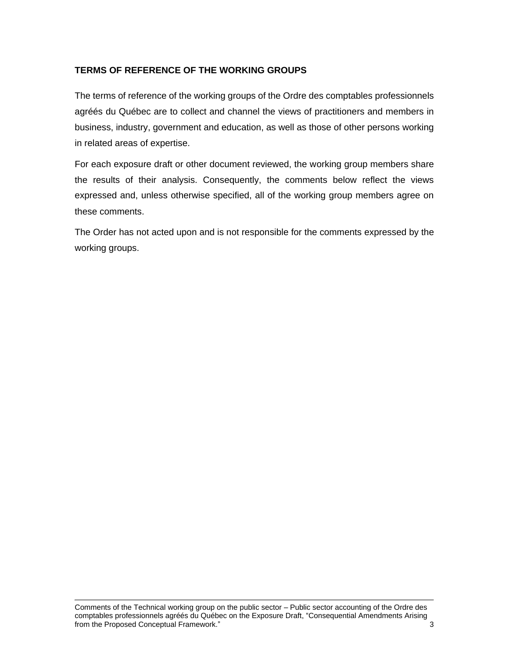## **TERMS OF REFERENCE OF THE WORKING GROUPS**

The terms of reference of the working groups of the Ordre des comptables professionnels agréés du Québec are to collect and channel the views of practitioners and members in business, industry, government and education, as well as those of other persons working in related areas of expertise.

For each exposure draft or other document reviewed, the working group members share the results of their analysis. Consequently, the comments below reflect the views expressed and, unless otherwise specified, all of the working group members agree on these comments.

The Order has not acted upon and is not responsible for the comments expressed by the working groups.

Comments of the Technical working group on the public sector – Public sector accounting of the Ordre des comptables professionnels agréés du Québec on the Exposure Draft, "Consequential Amendments Arising from the Proposed Conceptual Framework." 3